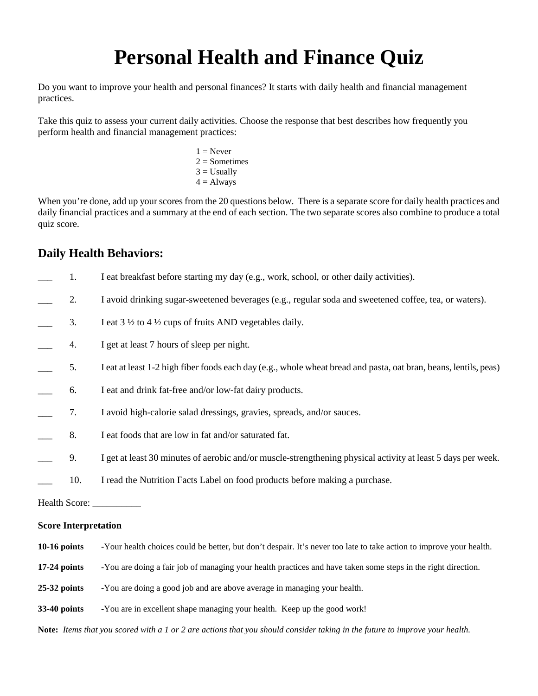## **Personal Health and Finance Quiz**

Do you want to improve your health and personal finances? It starts with daily health and financial management practices.

Take this quiz to assess your current daily activities. Choose the response that best describes how frequently you perform health and financial management practices:

> $1 =$  Never  $2 =$ Sometimes  $3 =$  Usually  $4 =$  Always

When you're done, add up your scores from the 20 questions below. There is a separate score for daily health practices and daily financial practices and a summary at the end of each section. The two separate scores also combine to produce a total quiz score.

## **Daily Health Behaviors:**

|                             | 1.  | I eat breakfast before starting my day (e.g., work, school, or other daily activities).                             |  |
|-----------------------------|-----|---------------------------------------------------------------------------------------------------------------------|--|
|                             | 2.  | I avoid drinking sugar-sweetened beverages (e.g., regular soda and sweetened coffee, tea, or waters).               |  |
|                             | 3.  | I eat $3\frac{1}{2}$ to $4\frac{1}{2}$ cups of fruits AND vegetables daily.                                         |  |
|                             | 4.  | I get at least 7 hours of sleep per night.                                                                          |  |
|                             | 5.  | I eat at least 1-2 high fiber foods each day (e.g., whole wheat bread and pasta, oat bran, beans, lentils, peas)    |  |
|                             | 6.  | I eat and drink fat-free and/or low-fat dairy products.                                                             |  |
|                             | 7.  | I avoid high-calorie salad dressings, gravies, spreads, and/or sauces.                                              |  |
|                             | 8.  | I eat foods that are low in fat and/or saturated fat.                                                               |  |
|                             | 9.  | I get at least 30 minutes of aerobic and/or muscle-strengthening physical activity at least 5 days per week.        |  |
|                             | 10. | I read the Nutrition Facts Label on food products before making a purchase.                                         |  |
|                             |     |                                                                                                                     |  |
| <b>Score Interpretation</b> |     |                                                                                                                     |  |
| $10-16$ points              |     | -Your health choices could be better, but don't despair. It's never too late to take action to improve your health. |  |
| $17-24$ points              |     | -You are doing a fair job of managing your health practices and have taken some steps in the right direction.       |  |
| $25-32$ points              |     | -You are doing a good job and are above average in managing your health.                                            |  |

**33-40 points** -You are in excellent shape managing your health. Keep up the good work!

**Note:** *Items that you scored with a 1 or 2 are actions that you should consider taking in the future to improve your health.*